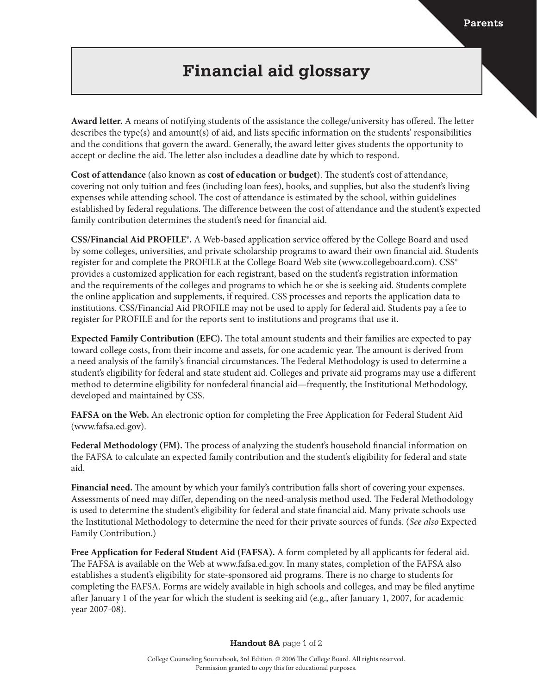## **Financial aid glossary**

**Award letter.** A means of notifying students of the assistance the college/university has offered. The letter describes the type(s) and amount(s) of aid, and lists specific information on the students' responsibilities and the conditions that govern the award. Generally, the award letter gives students the opportunity to accept or decline the aid. The letter also includes a deadline date by which to respond.

**Cost of attendance** (also known as **cost of education** or **budget**). The student's cost of attendance, covering not only tuition and fees (including loan fees), books, and supplies, but also the student's living expenses while attending school. The cost of attendance is estimated by the school, within guidelines established by federal regulations. The difference between the cost of attendance and the student's expected family contribution determines the student's need for financial aid.

**CSS/Financial Aid PROFILE®.** A Web-based application service offered by the College Board and used by some colleges, universities, and private scholarship programs to award their own financial aid. Students register for and complete the PROFILE at the College Board Web site (www.collegeboard.com). CSS® provides a customized application for each registrant, based on the student's registration information and the requirements of the colleges and programs to which he or she is seeking aid. Students complete the online application and supplements, if required. CSS processes and reports the application data to institutions. CSS/Financial Aid PROFILE may not be used to apply for federal aid. Students pay a fee to register for PROFILE and for the reports sent to institutions and programs that use it.

**Expected Family Contribution (EFC).** The total amount students and their families are expected to pay toward college costs, from their income and assets, for one academic year. The amount is derived from a need analysis of the family's financial circumstances. The Federal Methodology is used to determine a student's eligibility for federal and state student aid. Colleges and private aid programs may use a different method to determine eligibility for nonfederal financial aid—frequently, the Institutional Methodology, developed and maintained by CSS.

**FAFSA on the Web.** An electronic option for completing the Free Application for Federal Student Aid (www.fafsa.ed.gov).

**Federal Methodology (FM).** The process of analyzing the student's household financial information on the FAFSA to calculate an expected family contribution and the student's eligibility for federal and state aid.

**Financial need.** The amount by which your family's contribution falls short of covering your expenses. Assessments of need may differ, depending on the need-analysis method used. The Federal Methodology is used to determine the student's eligibility for federal and state financial aid. Many private schools use the Institutional Methodology to determine the need for their private sources of funds. (*See also* Expected Family Contribution.)

**Free Application for Federal Student Aid (FAFSA).** A form completed by all applicants for federal aid. The FAFSA is available on the Web at www.fafsa.ed.gov. In many states, completion of the FAFSA also establishes a student's eligibility for state-sponsored aid programs. There is no charge to students for completing the FAFSA. Forms are widely available in high schools and colleges, and may be filed anytime after January 1 of the year for which the student is seeking aid (e.g., after January 1, 2007, for academic year 2007-08).

**Handout 8A** page 1 of 2